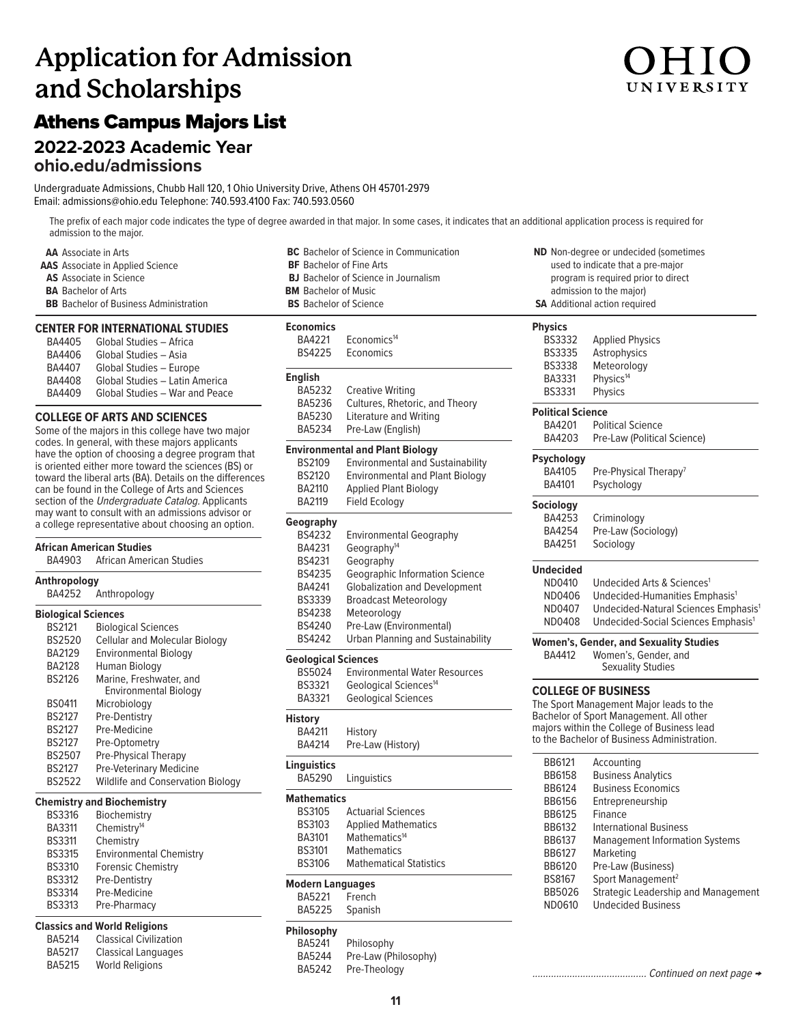# **Application for Admission and Scholarships**

# Athens Campus Majors List

# **2022-2023 Academic Year**

**[ohio.edu/admissions](https://ohio.edu/admissions)** 

Undergraduate Admissions, Chubb Hall 120, 1 Ohio University Drive, Athens OH 45701-2979 Email: [admissions@ohio.edu](mailto:admissions@ohio.edu) Telephone: 740.593.4100 Fax: 740.593.0560

The prefix of each major code indicates the type of degree awarded in that major. In some cases, it indicates that an additional application process is required for admission to the major.

### **CENTER FOR INTERNATIONAL STUDIES**

| BA4405        | Global Studies - Africa        |
|---------------|--------------------------------|
| BA4406        | Global Studies - Asia          |
| BA4407        | Global Studies - Europe        |
| <b>BA4408</b> | Global Studies - Latin America |
| BA4409        | Global Studies - War and Peace |

### **COLLEGE OF ARTS AND SCIENCES**

Some of the majors in this college have two major codes. In general, with these majors applicants have the option of choosing a degree program that is oriented either more toward the sciences (BS) or toward the liberal arts (BA). Details on the differences can be found in the College of Arts and Sciences section of the Undergraduate Catalog. Applicants may want to consult with an admissions advisor or a college representative about choosing an option.

### BA4252 Anthropology **African American Studies African American Studies Anthropology Biological Sciences** BS2121 Biological Sciences<br>BS2520 Cellular and Molecu BS2520 Cellular and Molecular Biology<br>BA2129 Environmental Biology **Environmental Biology** BA2128 Human Biology BS2126 Marine, Freshwater, and Environmental Biology BS0411 Microbiology BS2127 Pre-Dentistry BS2127 Pre-Medicine BS2127 Pre-Optometry BS2507 Pre-Physical Therapy BS2127 Pre-Veterinary Medicine<br>BS2522 Wildlife and Conservatio **Wildlife and Conservation Biology**

### **Chemistry and Biochemistry**

| <b>BS3316</b> | Biochemistry                   |
|---------------|--------------------------------|
| <b>BA3311</b> | Chemistry <sup>14</sup>        |
| <b>BS3311</b> | Chemistry                      |
| <b>BS3315</b> | <b>Environmental Chemistry</b> |
| <b>BS3310</b> | <b>Forensic Chemistry</b>      |
| <b>BS3312</b> | <b>Pre-Dentistry</b>           |
| <b>BS3314</b> | Pre-Medicine                   |
| <b>BS3313</b> | Pre-Pharmacy                   |

### **Classics and World Religions**

| <b>BA5214</b> | <b>Classical Civilization</b> |
|---------------|-------------------------------|
| <b>BA5217</b> | Classical Languages           |
| <b>BA5215</b> | <b>World Religions</b>        |

| <b>AA</b> Associate in Arts                   | <b>BC</b> Bachelor of Science in Communication | <b>ND</b> Non-degree or undecided    |
|-----------------------------------------------|------------------------------------------------|--------------------------------------|
| <b>AAS</b> Associate in Applied Science       | <b>BF</b> Bachelor of Fine Arts                | used to indicate that a pre          |
| <b>AS</b> Associate in Science                | <b>BJ</b> Bachelor of Science in Journalism    | program is required prior            |
| <b>BA</b> Bachelor of Arts                    | <b>BM</b> Bachelor of Music                    | admission to the major)              |
| <b>BB</b> Bachelor of Business Administration | <b>BS</b> Bachelor of Science                  | <b>SA</b> Additional action required |

### **Economics**

| <b>Economics</b><br>BA4221<br><b>BS4225</b>                                                                                                   | Fconomics <sup>14</sup><br>Economics                                                                                                                                                                                                                                          |
|-----------------------------------------------------------------------------------------------------------------------------------------------|-------------------------------------------------------------------------------------------------------------------------------------------------------------------------------------------------------------------------------------------------------------------------------|
| <b>English</b><br>BA5232<br>BA5236<br>BA5230<br>BA5234                                                                                        | <b>Creative Writing</b><br>Cultures, Rhetoric, and Theory<br><b>Literature and Writing</b><br>Pre-Law (English)                                                                                                                                                               |
| <b>BS2109</b><br><b>BS2120</b><br>BA2110<br><b>BA2119</b>                                                                                     | <b>Environmental and Plant Biology</b><br><b>Environmental and Sustainability</b><br><b>Environmental and Plant Biology</b><br><b>Applied Plant Biology</b><br>Field Ecology                                                                                                  |
| Geography<br><b>BS4232</b><br>BA4231<br><b>BS4231</b><br><b>BS4235</b><br>BA4241<br><b>BS3339</b><br><b>BS4238</b><br>BS4240<br><b>BS4242</b> | <b>Environmental Geography</b><br>Geography <sup>14</sup><br>Geography<br><b>Geographic Information Science</b><br><b>Globalization and Development</b><br><b>Broadcast Meteorology</b><br>Meteorology<br>Pre-Law (Environmental)<br><b>Urban Planning and Sustainability</b> |
| <b>Geological Sciences</b><br>BS5024<br>BS3321<br>BA3321                                                                                      | <b>Environmental Water Resources</b><br>Geological Sciences <sup>14</sup><br><b>Geological Sciences</b>                                                                                                                                                                       |
| <b>History</b><br>BA4211<br><b>BA4214</b>                                                                                                     | History<br>Pre-Law (History)                                                                                                                                                                                                                                                  |
| <b>Linguistics</b><br>BA5290                                                                                                                  | Linguistics                                                                                                                                                                                                                                                                   |

### **Mathematics**

| <b>BS3105</b> | <b>Actuarial Sciences</b>      |
|---------------|--------------------------------|
| <b>BS3103</b> | <b>Applied Mathematics</b>     |
| <b>BA3101</b> | Mathematics <sup>14</sup>      |
| <b>BS3101</b> | <b>Mathematics</b>             |
| <b>BS3106</b> | <b>Mathematical Statistics</b> |
|               |                                |

### **Modern Languages**

BA5221 French<br>BA5225 Spanish Spanish

### **Philosophy**

BA5241 BA5244 BA5242 Philosophy Pre-Law (Philosophy) **AD** Non-degree or undecided (sometimes used to indicate that a pre-major program is required prior to direct admission to the major)

### **Physics**

| <b>BS3332</b><br><b>BS3335</b><br><b>BS3338</b><br>BA3331 | <b>Applied Physics</b><br>Astrophysics<br>Meteorology<br>Physics <sup>14</sup> |  |  |
|-----------------------------------------------------------|--------------------------------------------------------------------------------|--|--|
| <b>BS3331</b>                                             | Physics                                                                        |  |  |
| <b>Political Science</b>                                  |                                                                                |  |  |
| BA4201                                                    | <b>Political Science</b>                                                       |  |  |
| BA4203                                                    | Pre-Law (Political Science)                                                    |  |  |
| Psychology                                                |                                                                                |  |  |
| BA4105                                                    | Pre-Physical Therapy <sup>7</sup>                                              |  |  |
| BA4101                                                    | Psychology                                                                     |  |  |
| Sociology                                                 |                                                                                |  |  |
| BA4253                                                    | Criminology                                                                    |  |  |
| BA4254                                                    | Pre-Law (Sociology)                                                            |  |  |
| BA4251                                                    | Sociology                                                                      |  |  |
| Undecided                                                 |                                                                                |  |  |
| ND0410                                                    | Undecided Arts & Sciences <sup>1</sup>                                         |  |  |
| ND0406                                                    | Undecided-Humanities Emphasis <sup>1</sup>                                     |  |  |
| ND0407                                                    | Undecided-Natural Sciences Emphasis <sup>1</sup>                               |  |  |
| ND0408                                                    | Undecided-Social Sciences Emphasis <sup>1</sup>                                |  |  |
|                                                           | Women's, Gender, and Sexuality Studies                                         |  |  |
| <b>BA4412</b>                                             | Women's, Gender, and                                                           |  |  |
|                                                           | <b>Sexuality Studies</b>                                                       |  |  |
| <b>COLLEGE OF BUSINESS</b>                                |                                                                                |  |  |
| The Sport Management Major leads to the                   |                                                                                |  |  |

The Sport Management Major leads to the Bachelor of Sport Management. All other majors within the College of Business lead to the Bachelor of Business Administration.

| BB6121        | Accounting                            |
|---------------|---------------------------------------|
| <b>BB6158</b> | <b>Business Analytics</b>             |
| BB6124        | <b>Business Economics</b>             |
| <b>BB6156</b> | Entrepreneurship                      |
| <b>BB6125</b> | Finance                               |
| BB6132        | International Business                |
| <b>BB6137</b> | <b>Management Information Systems</b> |
| BB6127        | Marketing                             |
| <b>BB6120</b> | Pre-Law (Business)                    |
| <b>BS8167</b> | Sport Management <sup>2</sup>         |
| BB5026        | Strategic Leadership and Management   |
| ND0610        | <b>Undecided Business</b>             |

Pre-Theology ........................................... Continued on next page →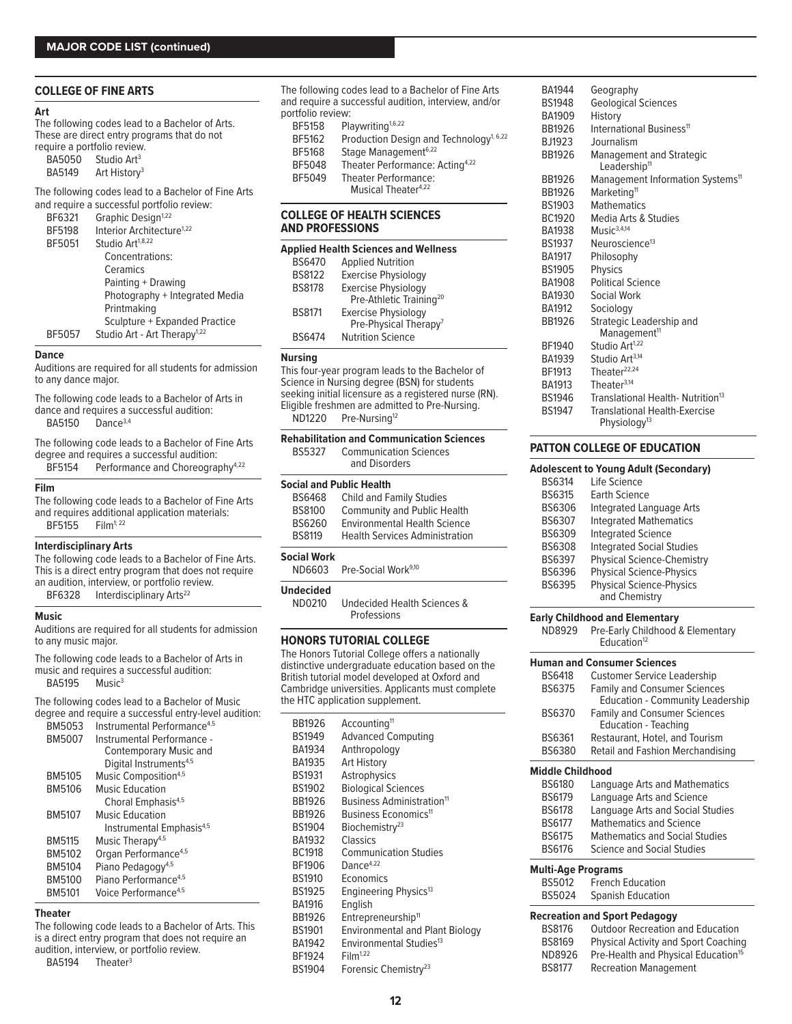| <b>BA5050</b> | Studio Art <sup>3</sup>  |
|---------------|--------------------------|
| <b>BA5149</b> | Art History <sup>3</sup> |

| and require a succession portions review. |               |                                          |  |
|-------------------------------------------|---------------|------------------------------------------|--|
|                                           | BF6321        | Graphic Design <sup>1,22</sup>           |  |
|                                           | BF5198        | Interior Architecture <sup>1,22</sup>    |  |
|                                           | BF5051        | Studio Art <sup>1,8,22</sup>             |  |
|                                           |               | Concentrations:                          |  |
|                                           |               | Ceramics                                 |  |
|                                           |               | Painting + Drawing                       |  |
|                                           |               | Photography + Integrated Media           |  |
|                                           |               | Printmaking                              |  |
|                                           |               | Sculpture + Expanded Practice            |  |
|                                           | <b>BF5057</b> | Studio Art - Art Therapy <sup>1,22</sup> |  |
|                                           |               |                                          |  |

### **Interdisciplinary Arts**

The following code leads to a Bachelor of Fine Arts. This is a direct entry program that does not require an audition, interview, or portfolio review. BF6328 Interdisciplinary Arts<sup>[22](#page-2-0)</sup>

Music **Early Childhood and Elementary**<br>Auditions are required for all students for admission **Auditions are reported to the Childhood Childhood & Elementary** Auditions are required for all students for admission **HONORS TUTORIAL COLLEGE THE COLLEGE** ND8929 Pre-Early Childhood & Elementary<br>to any music major. Note that is a set of the college **HONORS TUTORIAL COLLEGE** The contro

music and requires a successful audition:<br>BA5195 Music<sup>3</sup> BA5195

The following codes lead to a Bachelor of Music degree and require a successful entry-level audition:

| BM5053        | Instrumental Performance <sup>4,5</sup> |
|---------------|-----------------------------------------|
| <b>BM5007</b> | Instrumental Performance -              |
|               | <b>Contemporary Music and</b>           |
|               | Digital Instruments <sup>4,5</sup>      |
| BM5105        | Music Composition <sup>4,5</sup>        |
| <b>BM5106</b> | <b>Music Education</b>                  |
|               | Choral Emphasis <sup>4,5</sup>          |
| <b>BM5107</b> | Music Education                         |
|               | Instrumental Emphasis <sup>4,5</sup>    |
| <b>BM5115</b> | Music Therapy <sup>4,5</sup>            |
| BM5102        | Organ Performance <sup>4,5</sup>        |
| <b>BM5104</b> | Piano Pedagogy <sup>4,5</sup>           |
| BM5100        | Piano Performance <sup>4,5</sup>        |
| <b>BM5101</b> | Voice Performance <sup>4,5</sup>        |
|               |                                         |

### **COLLEGE OF HEALTH SCIENCES AND PROFESSIONS**

|               | <b>Applied Health Sciences and Wellness</b> | <b>B</b> SIY37 | Neuroscience <sup>®</sup> |
|---------------|---------------------------------------------|----------------|---------------------------|
| <b>BS6470</b> | <b>Applied Nutrition</b>                    | <b>BA1917</b>  | Philosophy                |
| <b>BS8122</b> | <b>Exercise Physiology</b>                  | <b>BS1905</b>  | <b>Physics</b>            |
| <b>BS8178</b> | <b>Exercise Physiology</b>                  | <b>BA1908</b>  | <b>Political Science</b>  |
|               | Pre-Athletic Training <sup>20</sup>         | <b>BA1930</b>  | Social Work               |
| <b>BS8171</b> | <b>Exercise Physiology</b>                  | <b>BA1912</b>  | Sociology                 |
|               | Pre-Physical Therapy <sup>7</sup>           | <b>BB1926</b>  | Strategic Leader:         |
| <b>BS6474</b> | <b>Nutrition Science</b>                    |                | Management <sup>11</sup>  |
|               |                                             |                |                           |

| The following code leads to a Bachelor of Fine Arts                                                                                                                                                      | <b>Rehabilitation and Communication Sciences</b><br><b>Communication Sciences</b><br><b>BS5327</b>                                                                                                                                                           | <b>PATTON COLLEGE OF EDUCATION</b>                                                                                                                                                                           |  |
|----------------------------------------------------------------------------------------------------------------------------------------------------------------------------------------------------------|--------------------------------------------------------------------------------------------------------------------------------------------------------------------------------------------------------------------------------------------------------------|--------------------------------------------------------------------------------------------------------------------------------------------------------------------------------------------------------------|--|
| degree and requires a successful audition:<br>Performance and Choreography <sup>4,22</sup><br>BF5154                                                                                                     | and Disorders                                                                                                                                                                                                                                                | <b>Adolescent to Young Adult (Secondar</b>                                                                                                                                                                   |  |
| <b>Film</b><br>The following code leads to a Bachelor of Fine Arts<br>and requires additional application materials:<br>$Film^{1;22}$<br>BF5155                                                          | <b>Social and Public Health</b><br><b>Child and Family Studies</b><br><b>BS6468</b><br><b>Community and Public Health</b><br><b>BS8100</b><br><b>Environmental Health Science</b><br><b>BS6260</b><br><b>Health Services Administration</b><br><b>BS8119</b> | <b>BS6314</b><br>Life Science<br><b>BS6315</b><br>Earth Science<br><b>BS6306</b><br>Integrated Language Arts<br><b>Integrated Mathematics</b><br><b>BS6307</b><br><b>Integrated Science</b><br><b>BS6309</b> |  |
| Interdisciplinary Arts<br>The following code leads to a Bachelor of Fine Arts.<br>This is a direct entry program that does not require<br>an audition, interview, or portfolio review.<br>$P_{\text{C}}$ | <b>Social Work</b><br>Pre-Social Work <sup>9,10</sup><br>ND6603<br>Undecided                                                                                                                                                                                 | <b>Integrated Social Studies</b><br><b>BS6308</b><br><b>Physical Science-Chemisti</b><br><b>BS6397</b><br><b>Physical Science-Physics</b><br>BS6396<br><b>Physical Science-Physics</b><br><b>BS6395</b>      |  |

**BS6310** Undecided Health Sciences &<br>Professions

The Honors Tutorial College offers a nationally The following code leads to a Bachelor of Arts in distinctive undergraduate education based on the British tutorial model developed at Oxford and Cambridge universities. Applicants must complete the HTC application supplement.

|                | degree and require a successful entry-level audition: |               |                                        | BS6370                    | <b>Family and Consumer Sciences</b>   |
|----------------|-------------------------------------------------------|---------------|----------------------------------------|---------------------------|---------------------------------------|
| BM5053         | Instrumental Performance <sup>4,5</sup>               | <b>BB1926</b> | Accounting <sup>11</sup>               |                           | Education - Teaching                  |
| <b>BM5007</b>  | Instrumental Performance -                            | <b>BS1949</b> | <b>Advanced Computing</b>              | <b>BS6361</b>             | Restaurant, Hotel, and Tourism        |
|                | Contemporary Music and                                | BA1934        | Anthropology                           | <b>BS6380</b>             | Retail and Fashion Merchandisi        |
|                | Digital Instruments <sup>4,5</sup>                    | <b>BA1935</b> | Art History                            |                           |                                       |
| <b>BM5105</b>  | Music Composition <sup>4,5</sup>                      | <b>BS1931</b> | Astrophysics                           | <b>Middle Childhood</b>   |                                       |
| <b>BM5106</b>  | <b>Music Education</b>                                | <b>BS1902</b> | <b>Biological Sciences</b>             | <b>BS6180</b>             | Language Arts and Mathematic          |
|                | Choral Emphasis <sup>4,5</sup>                        | <b>BB1926</b> | Business Administration <sup>11</sup>  | <b>BS6179</b>             | Language Arts and Science             |
| <b>BM5107</b>  | <b>Music Education</b>                                | <b>BB1926</b> | Business Economics <sup>11</sup>       | <b>BS6178</b>             | Language Arts and Social Studi        |
|                | Instrumental Emphasis <sup>4,5</sup>                  | <b>BS1904</b> | Biochemistry <sup>23</sup>             | <b>BS6177</b>             | <b>Mathematics and Science</b>        |
| <b>BM5115</b>  | Music Therapy <sup>4,5</sup>                          | BA1932        | <b>Classics</b>                        | <b>BS6175</b>             | <b>Mathematics and Social Studies</b> |
| <b>BM5102</b>  | Organ Performance <sup>4,5</sup>                      | <b>BC1918</b> | <b>Communication Studies</b>           | <b>BS6176</b>             | <b>Science and Social Studies</b>     |
| <b>BM5104</b>  | Piano Pedagogy <sup>4,5</sup>                         | BF1906        | Dance <sup>4,22</sup>                  | <b>Multi-Age Programs</b> |                                       |
| <b>BM5100</b>  | Piano Performance <sup>4,5</sup>                      | <b>BS1910</b> | Economics                              | <b>BS5012</b>             | <b>French Education</b>               |
| <b>BM5101</b>  | Voice Performance <sup>4,5</sup>                      | <b>BS1925</b> | Engineering Physics <sup>13</sup>      | <b>BS5024</b>             | <b>Spanish Education</b>              |
|                |                                                       | <b>BA1916</b> | English                                |                           |                                       |
| <b>Theater</b> |                                                       | <b>BB1926</b> | Entrepreneurship <sup>11</sup>         |                           | <b>Recreation and Sport Pedagogy</b>  |
|                | The following code leads to a Bachelor of Arts. This  | <b>BS1901</b> | <b>Environmental and Plant Biology</b> | <b>BS8176</b>             | <b>Outdoor Recreation and Educat</b>  |
|                | is a direct entry program that does not require an    | BA1942        | Environmental Studies <sup>13</sup>    | <b>BS8169</b>             | Physical Activity and Sport Coa       |
|                | audition, interview, or portfolio review.             | BF1924        | Film <sup>1,22</sup>                   | ND8926                    | Pre-Health and Physical Educat        |
| <b>BA5194</b>  | Theater <sup>3</sup>                                  | <b>BS1904</b> | Forensic Chemistry <sup>23</sup>       | <b>BS8177</b>             | <b>Recreation Management</b>          |
|                |                                                       |               |                                        |                           |                                       |

| <b>COLLEGE OF FINE ARTS</b>                                                                                                                                                                                                                                                          | The following codes lead to a Bachelor of Fine Arts                                                                                                                                                                                                                                                                                                                                    | <b>BA1944</b>                                                                                                                                                                                                                                                                              | Geography                                                                                                                                                                                                                     |
|--------------------------------------------------------------------------------------------------------------------------------------------------------------------------------------------------------------------------------------------------------------------------------------|----------------------------------------------------------------------------------------------------------------------------------------------------------------------------------------------------------------------------------------------------------------------------------------------------------------------------------------------------------------------------------------|--------------------------------------------------------------------------------------------------------------------------------------------------------------------------------------------------------------------------------------------------------------------------------------------|-------------------------------------------------------------------------------------------------------------------------------------------------------------------------------------------------------------------------------|
| Art<br>The following codes lead to a Bachelor of Arts.<br>These are direct entry programs that do not<br>require a portfolio review.<br><b>BA5050</b><br>Studio Art <sup>3</sup><br><b>BA5149</b><br>Art History <sup>3</sup><br>The following codes lead to a Bachelor of Fine Arts | and require a successful audition, interview, and/or<br>portfolio review:<br>Playwriting <sup>1,6,22</sup><br><b>BF5158</b><br>BF5162<br>Production Design and Technology <sup>1, 6,22</sup><br>Stage Management <sup>6,22</sup><br><b>BF5168</b><br>BF5048<br>Theater Performance: Acting <sup>4,22</sup><br>BF5049<br><b>Theater Performance:</b><br>Musical Theater <sup>4,22</sup> | <b>BS1948</b><br><b>BA1909</b><br><b>BB1926</b><br><b>BJ1923</b><br><b>BB1926</b><br><b>BB1926</b><br><b>BB1926</b>                                                                                                                                                                        | <b>Geological Sciences</b><br>History<br>International Business <sup>11</sup><br>Journalism<br>Management and Strategic<br>Leadership <sup>11</sup><br>Management Information Systems <sup>1</sup><br>Marketing <sup>11</sup> |
| and require a successful portfolio review:<br>Graphic Design <sup>1,22</sup><br>BF6321<br>Interior Architecture <sup>1,22</sup><br><b>BF5198</b>                                                                                                                                     | <b>COLLEGE OF HEALTH SCIENCES</b><br><b>AND PROFESSIONS</b>                                                                                                                                                                                                                                                                                                                            | <b>BS1903</b><br>BC1920<br><b>BA1938</b>                                                                                                                                                                                                                                                   | <b>Mathematics</b><br>Media Arts & Studies<br>Music <sup>3,4,14</sup>                                                                                                                                                         |
| Studio Art <sup>1,8,22</sup><br>BF5051<br>Concentrations:<br>Ceramics<br>Painting + Drawing<br>Photography + Integrated Media<br>Printmaking<br>Sculpture + Expanded Practice<br>Studio Art - Art Therapy <sup>1,22</sup><br>BF5057                                                  | <b>Applied Health Sciences and Wellness</b><br><b>BS6470</b><br><b>Applied Nutrition</b><br><b>BS8122</b><br><b>Exercise Physiology</b><br><b>BS8178</b><br><b>Exercise Physiology</b><br>Pre-Athletic Training <sup>20</sup><br><b>BS8171</b><br><b>Exercise Physiology</b><br>Pre-Physical Therapy <sup>7</sup><br><b>BS6474</b><br><b>Nutrition Science</b>                         | <b>BS1937</b><br>Neuroscience <sup>13</sup><br><b>BA1917</b><br>Philosophy<br><b>BS1905</b><br>Physics<br><b>BA1908</b><br><b>Political Science</b><br>Social Work<br><b>BA1930</b><br><b>BA1912</b><br>Sociology<br><b>BB1926</b><br>Strategic Leadership and<br>Management <sup>11</sup> |                                                                                                                                                                                                                               |
| <b>Dance</b><br>Auditions are required for all students for admission<br>to any dance major.<br>The following code leads to a Bachelor of Arts in<br>dance and requires a successful audition:<br>Dance $3,4$<br><b>BA5150</b>                                                       | <b>Nursing</b><br>This four-year program leads to the Bachelor of<br>Science in Nursing degree (BSN) for students<br>seeking initial licensure as a registered nurse (RN).<br>Eligible freshmen are admitted to Pre-Nursing.<br>ND1220<br>Pre-Nursing <sup>12</sup>                                                                                                                    | BF1940<br><b>BA1939</b><br>BF1913<br><b>BA1913</b><br><b>BS1946</b><br><b>BS1947</b>                                                                                                                                                                                                       | Studio Art <sup>1,22</sup><br>Studio Art <sup>3,14</sup><br>Theater <sup>22,24</sup><br>Theater $3,14$<br>Translational Health-Nutrition <sup>13</sup><br><b>Translational Health-Exercise</b><br>Physiology <sup>13</sup>    |
|                                                                                                                                                                                                                                                                                      |                                                                                                                                                                                                                                                                                                                                                                                        |                                                                                                                                                                                                                                                                                            |                                                                                                                                                                                                                               |

### **PATTON COLLEGE OF EDUCATION**

### **Adolescent to Young Adult (Secondary)**

| <b>BS6314</b> | l ife Science                                    |
|---------------|--------------------------------------------------|
| <b>BS6315</b> | <b>Earth Science</b>                             |
| BS6306        | <b>Integrated Language Arts</b>                  |
| BS6307        | <b>Integrated Mathematics</b>                    |
| <b>BS6309</b> | <b>Integrated Science</b>                        |
| <b>BS6308</b> | <b>Integrated Social Studies</b>                 |
| <b>BS6397</b> | <b>Physical Science-Chemistry</b>                |
| <b>BS6396</b> | <b>Physical Science-Physics</b>                  |
| <b>BS6395</b> | <b>Physical Science-Physics</b><br>and Chemistry |
|               |                                                  |

|                  | e Honors Tutorial College offers a hationally<br>tinctive undergraduate education based on the<br>tish tutorial model developed at Oxford and<br>mbridge universities. Applicants must complete<br>HTC application supplement. | <b>BS6418</b><br><b>BS6375</b> | <b>Human and Consumer Sciences</b><br><b>Customer Service Leadership</b><br><b>Family and Consumer Sciences</b><br><b>Education - Community Leadership</b> |
|------------------|--------------------------------------------------------------------------------------------------------------------------------------------------------------------------------------------------------------------------------|--------------------------------|------------------------------------------------------------------------------------------------------------------------------------------------------------|
| BB1926           | Accounting <sup>11</sup>                                                                                                                                                                                                       | <b>BS6370</b>                  | <b>Family and Consumer Sciences</b><br>Education - Teaching                                                                                                |
| BS1949           | <b>Advanced Computing</b>                                                                                                                                                                                                      | <b>BS6361</b>                  | Restaurant, Hotel, and Tourism                                                                                                                             |
| BA1934           | Anthropology                                                                                                                                                                                                                   | <b>BS6380</b>                  | Retail and Fashion Merchandising                                                                                                                           |
| BA1935<br>BS1931 | Art History<br>Astrophysics                                                                                                                                                                                                    | <b>Middle Childhood</b>        |                                                                                                                                                            |
| BS1902           | <b>Biological Sciences</b>                                                                                                                                                                                                     | <b>BS6180</b>                  | Language Arts and Mathematics                                                                                                                              |
| BB1926           | Business Administration <sup>11</sup>                                                                                                                                                                                          | <b>BS6179</b>                  | Language Arts and Science                                                                                                                                  |
| BB1926           | Business Economics <sup>11</sup>                                                                                                                                                                                               | <b>BS6178</b>                  | Language Arts and Social Studies                                                                                                                           |
| BS1904           | Biochemistry <sup>23</sup>                                                                                                                                                                                                     | <b>BS6177</b>                  | <b>Mathematics and Science</b>                                                                                                                             |
| BA1932           | <b>Classics</b>                                                                                                                                                                                                                | <b>BS6175</b>                  | <b>Mathematics and Social Studies</b>                                                                                                                      |
| BC1918           | <b>Communication Studies</b>                                                                                                                                                                                                   | <b>BS6176</b>                  | <b>Science and Social Studies</b>                                                                                                                          |
| BF1906           | Dance $4,22$                                                                                                                                                                                                                   | <b>Multi-Age Programs</b>      |                                                                                                                                                            |
| BS1910           | Economics                                                                                                                                                                                                                      | <b>BS5012</b>                  | <b>French Education</b>                                                                                                                                    |
| BS1925           | Engineering Physics <sup>13</sup>                                                                                                                                                                                              | BS5024                         | <b>Spanish Education</b>                                                                                                                                   |
| ------           |                                                                                                                                                                                                                                |                                |                                                                                                                                                            |

| <b>BS8176</b> | <b>Outdoor Recreation and Education</b>         |
|---------------|-------------------------------------------------|
| <b>BS8169</b> | <b>Physical Activity and Sport Coaching</b>     |
| ND8926        | Pre-Health and Physical Education <sup>15</sup> |
| <b>BS8177</b> | <b>Recreation Management</b>                    |
|               |                                                 |